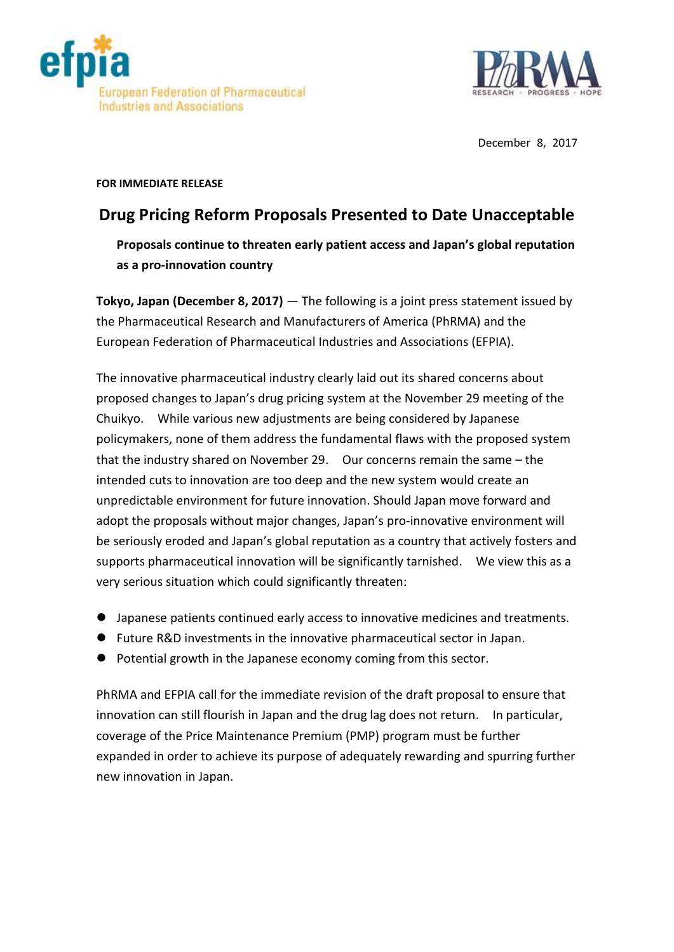



December 8, 2017

## **FOR IMMEDIATE RELEASE**

## **Drug Pricing Reform Proposals Presented to Date Unacceptable**

**Proposals continue to threaten early patient access and Japan's global reputation as a pro-innovation country**

**Tokyo, Japan (December 8, 2017)** — The following is a joint press statement issued by the Pharmaceutical Research and Manufacturers of America (PhRMA) and the European Federation of Pharmaceutical Industries and Associations (EFPIA).

The innovative pharmaceutical industry clearly laid out its shared concerns about proposed changes to Japan's drug pricing system at the November 29 meeting of the Chuikyo. While various new adjustments are being considered by Japanese policymakers, none of them address the fundamental flaws with the proposed system that the industry shared on November 29. Our concerns remain the same – the intended cuts to innovation are too deep and the new system would create an unpredictable environment for future innovation. Should Japan move forward and adopt the proposals without major changes, Japan's pro-innovative environment will be seriously eroded and Japan's global reputation as a country that actively fosters and supports pharmaceutical innovation will be significantly tarnished. We view this as a very serious situation which could significantly threaten:

- Japanese patients continued early access to innovative medicines and treatments.
- Future R&D investments in the innovative pharmaceutical sector in Japan.
- Potential growth in the Japanese economy coming from this sector.

PhRMA and EFPIA call for the immediate revision of the draft proposal to ensure that innovation can still flourish in Japan and the drug lag does not return. In particular, coverage of the Price Maintenance Premium (PMP) program must be further expanded in order to achieve its purpose of adequately rewarding and spurring further new innovation in Japan.